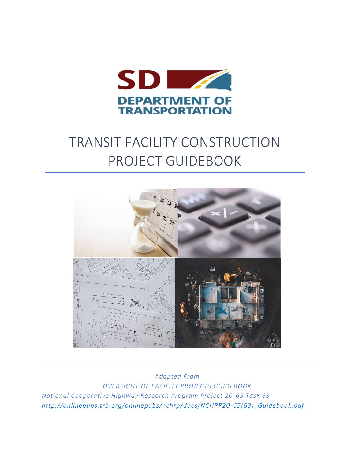

# TRANSIT FACILITY CONSTRUCTION PROJECT GUIDEBOOK



*Adapted From OVERSIGHT OF FACILITY PROJECTS GUIDEBOOK National Cooperative Highway Research Program Project 20-65 Task 63 [http://onlinepubs.trb.org/onlinepubs/nchrp/docs/NCHRP20-65\(63\)\\_Guidebook.pdf](http://onlinepubs.trb.org/onlinepubs/nchrp/docs/NCHRP20-65(63)_Guidebook.pdf)*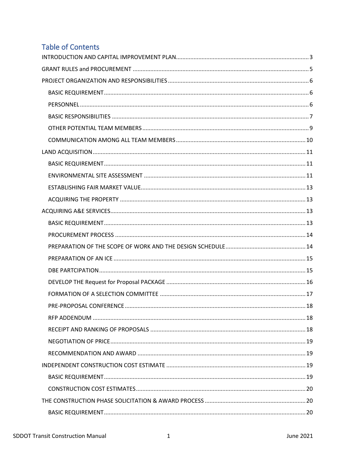## **Table of Contents**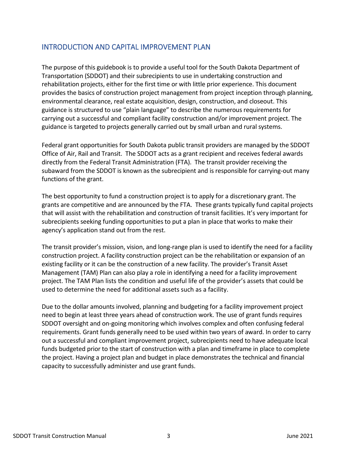## <span id="page-3-0"></span>INTRODUCTION AND CAPITAL IMPROVEMENT PLAN

The purpose of this guidebook is to provide a useful tool for the South Dakota Department of Transportation (SDDOT) and their subrecipients to use in undertaking construction and rehabilitation projects, either for the first time or with little prior experience. This document provides the basics of construction project management from project inception through planning, environmental clearance, real estate acquisition, design, construction, and closeout. This guidance is structured to use "plain language" to describe the numerous requirements for carrying out a successful and compliant facility construction and/or improvement project. The guidance is targeted to projects generally carried out by small urban and rural systems.

Federal grant opportunities for South Dakota public transit providers are managed by the SDDOT Office of Air, Rail and Transit. The SDDOT acts as a grant recipient and receives federal awards directly from the Federal Transit Administration (FTA). The transit provider receiving the subaward from the SDDOT is known as the subrecipient and is responsible for carrying-out many functions of the grant.

The best opportunity to fund a construction project is to apply for a discretionary grant. The grants are competitive and are announced by the FTA. These grants typically fund capital projects that will assist with the rehabilitation and construction of transit facilities. It's very important for subrecipients seeking funding opportunities to put a plan in place that works to make their agency's application stand out from the rest.

The transit provider's mission, vision, and long-range plan is used to identify the need for a facility construction project. A facility construction project can be the rehabilitation or expansion of an existing facility or it can be the construction of a new facility. The provider's Transit Asset Management (TAM) Plan can also play a role in identifying a need for a facility improvement project. The TAM Plan lists the condition and useful life of the provider's assets that could be used to determine the need for additional assets such as a facility.

Due to the dollar amounts involved, planning and budgeting for a facility improvement project need to begin at least three years ahead of construction work. The use of grant funds requires SDDOT oversight and on-going monitoring which involves complex and often confusing federal requirements. Grant funds generally need to be used within two years of award. In order to carry out a successful and compliant improvement project, subrecipients need to have adequate local funds budgeted prior to the start of construction with a plan and timeframe in place to complete the project. Having a project plan and budget in place demonstrates the technical and financial capacity to successfully administer and use grant funds.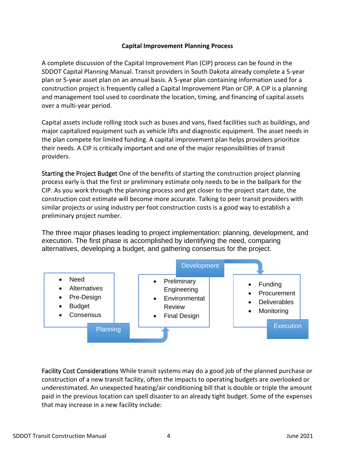## **Capital Improvement Planning Process**

A complete discussion of the Capital Improvement Plan (CIP) process can be found in the SDDOT Capital Planning Manual. Transit providers in South Dakota already complete a 5-year plan or 5-year asset plan on an annual basis. A 5-year plan containing information used for a construction project is frequently called a Capital Improvement Plan or CIP. A CIP is a planning and management tool used to coordinate the location, timing, and financing of capital assets over a multi-year period.

Capital assets include rolling stock such as buses and vans, fixed facilities such as buildings, and major capitalized equipment such as vehicle lifts and diagnostic equipment. The asset needs in the plan compete for limited funding. A capital improvement plan helps providers prioritize their needs. A CIP is critically important and one of the major responsibilities of transit providers.

Starting the Project Budget One of the benefits of starting the construction project planning process early is that the first or preliminary estimate only needs to be in the ballpark for the CIP. As you work through the planning process and get closer to the project start date, the construction cost estimate will become more accurate. Talking to peer transit providers with similar projects or using industry per foot construction costs is a good way to establish a preliminary project number.

The three major phases leading to project implementation: planning, development, and execution. The first phase is accomplished by identifying the need, comparing alternatives, developing a budget, and gathering consensus for the project.



Facility Cost Considerations While transit systems may do a good job of the planned purchase or construction of a new transit facility, often the impacts to operating budgets are overlooked or underestimated. An unexpected heating/air conditioning bill that is double or triple the amount paid in the previous location can spell disaster to an already tight budget. Some of the expenses that may increase in a new facility include: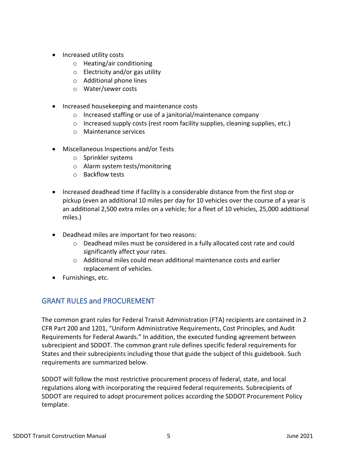- Increased utility costs
	- o Heating/air conditioning
	- o Electricity and/or gas utility
	- o Additional phone lines
	- o Water/sewer costs
- Increased housekeeping and maintenance costs
	- o Increased staffing or use of a janitorial/maintenance company
	- $\circ$  Increased supply costs (rest room facility supplies, cleaning supplies, etc.)
	- o Maintenance services
- Miscellaneous Inspections and/or Tests
	- o Sprinkler systems
	- o Alarm system tests/monitoring
	- o Backflow tests
- Increased deadhead time if facility is a considerable distance from the first stop or pickup (even an additional 10 miles per day for 10 vehicles over the course of a year is an additional 2,500 extra miles on a vehicle; for a fleet of 10 vehicles, 25,000 additional miles.)
- Deadhead miles are important for two reasons:
	- $\circ$  Deadhead miles must be considered in a fully allocated cost rate and could significantly affect your rates.
	- $\circ$  Additional miles could mean additional maintenance costs and earlier replacement of vehicles.
- <span id="page-5-0"></span>• Furnishings, etc.

## GRANT RULES and PROCUREMENT

The common grant rules for Federal Transit Administration (FTA) recipients are contained in 2 CFR Part 200 and 1201, "Uniform Administrative Requirements, Cost Principles, and Audit Requirements for Federal Awards." In addition, the executed funding agreement between subrecipient and SDDOT. The common grant rule defines specific federal requirements for States and their subrecipients including those that guide the subject of this guidebook. Such requirements are summarized below.

SDDOT will follow the most restrictive procurement process of federal, state, and local regulations along with incorporating the required federal requirements. Subrecipients of SDDOT are required to adopt procurement polices according the SDDOT Procurement Policy template.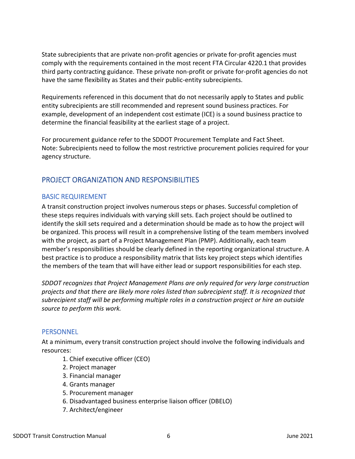State subrecipients that are private non-profit agencies or private for-profit agencies must comply with the requirements contained in the most recent FTA Circular 4220.1 that provides third party contracting guidance. These private non-profit or private for-profit agencies do not have the same flexibility as States and their public-entity subrecipients.

Requirements referenced in this document that do not necessarily apply to States and public entity subrecipients are still recommended and represent sound business practices. For example, development of an independent cost estimate (ICE) is a sound business practice to determine the financial feasibility at the earliest stage of a project.

For procurement guidance refer to the SDDOT Procurement Template and Fact Sheet. Note: Subrecipients need to follow the most restrictive procurement policies required for your agency structure.

## <span id="page-6-0"></span>PROJECT ORGANIZATION AND RESPONSIBILITIES

## <span id="page-6-1"></span>BASIC REQUIREMENT

A transit construction project involves numerous steps or phases. Successful completion of these steps requires individuals with varying skill sets. Each project should be outlined to identify the skill sets required and a determination should be made as to how the project will be organized. This process will result in a comprehensive listing of the team members involved with the project, as part of a Project Management Plan (PMP). Additionally, each team member's responsibilities should be clearly defined in the reporting organizational structure. A best practice is to produce a responsibility matrix that lists key project steps which identifies the members of the team that will have either lead or support responsibilities for each step.

*SDDOT recognizes that Project Management Plans are only required for very large construction projects and that there are likely more roles listed than subrecipient staff. It is recognized that subrecipient staff will be performing multiple roles in a construction project or hire an outside source to perform this work.*

## <span id="page-6-2"></span>**PERSONNEL**

At a minimum, every transit construction project should involve the following individuals and resources:

- 1. Chief executive officer (CEO)
- 2. Project manager
- 3. Financial manager
- 4. Grants manager
- 5. Procurement manager
- 6. Disadvantaged business enterprise liaison officer (DBELO)
- 7. Architect/engineer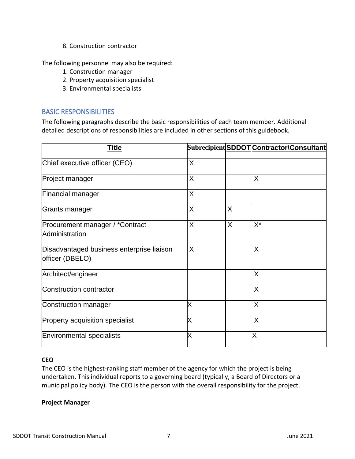8. Construction contractor

The following personnel may also be required:

- 1. Construction manager
- 2. Property acquisition specialist
- 3. Environmental specialists

## <span id="page-7-0"></span>BASIC RESPONSIBILITIES

The following paragraphs describe the basic responsibilities of each team member. Additional detailed descriptions of responsibilities are included in other sections of this guidebook.

| <u>Title</u>                                                 |   |   | Subrecipient SDDOT Contractor\Consultant |
|--------------------------------------------------------------|---|---|------------------------------------------|
| Chief executive officer (CEO)                                | X |   |                                          |
| Project manager                                              | X |   | X                                        |
| <b>Financial manager</b>                                     | X |   |                                          |
| Grants manager                                               | X | X |                                          |
| Procurement manager / *Contract<br>Administration            | X | X | $X^*$                                    |
| Disadvantaged business enterprise liaison<br>officer (DBELO) | X |   | X                                        |
| Architect/engineer                                           |   |   | X                                        |
| Construction contractor                                      |   |   | $\sf X$                                  |
| Construction manager                                         | X |   | $\sf X$                                  |
| Property acquisition specialist                              | Χ |   | $\times$                                 |
| Environmental specialists                                    | Χ |   | Χ                                        |

## **CEO**

The CEO is the highest-ranking staff member of the agency for which the project is being undertaken. This individual reports to a governing board (typically, a Board of Directors or a municipal policy body). The CEO is the person with the overall responsibility for the project.

### **Project Manager**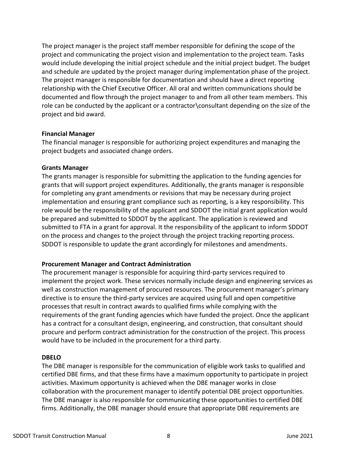The project manager is the project staff member responsible for defining the scope of the project and communicating the project vision and implementation to the project team. Tasks would include developing the initial project schedule and the initial project budget. The budget and schedule are updated by the project manager during implementation phase of the project. The project manager is responsible for documentation and should have a direct reporting relationship with the Chief Executive Officer. All oral and written communications should be documented and flow through the project manager to and from all other team members. This role can be conducted by the applicant or a contractor\consultant depending on the size of the project and bid award.

#### **Financial Manager**

The financial manager is responsible for authorizing project expenditures and managing the project budgets and associated change orders.

#### **Grants Manager**

The grants manager is responsible for submitting the application to the funding agencies for grants that will support project expenditures. Additionally, the grants manager is responsible for completing any grant amendments or revisions that may be necessary during project implementation and ensuring grant compliance such as reporting, is a key responsibility. This role would be the responsibility of the applicant and SDDOT the initial grant application would be prepared and submitted to SDDOT by the applicant. The application is reviewed and submitted to FTA in a grant for approval. It the responsibility of the applicant to inform SDDOT on the process and changes to the project through the project tracking reporting process. SDDOT is responsible to update the grant accordingly for milestones and amendments.

### **Procurement Manager and Contract Administration**

The procurement manager is responsible for acquiring third-party services required to implement the project work. These services normally include design and engineering services as well as construction management of procured resources. The procurement manager's primary directive is to ensure the third-party services are acquired using full and open competitive processes that result in contract awards to qualified firms while complying with the requirements of the grant funding agencies which have funded the project. Once the applicant has a contract for a consultant design, engineering, and construction, that consultant should procure and perform contract administration for the construction of the project. This process would have to be included in the procurement for a third party.

### **DBELO**

The DBE manager is responsible for the communication of eligible work tasks to qualified and certified DBE firms, and that these firms have a maximum opportunity to participate in project activities. Maximum opportunity is achieved when the DBE manager works in close collaboration with the procurement manager to identify potential DBE project opportunities. The DBE manager is also responsible for communicating these opportunities to certified DBE firms. Additionally, the DBE manager should ensure that appropriate DBE requirements are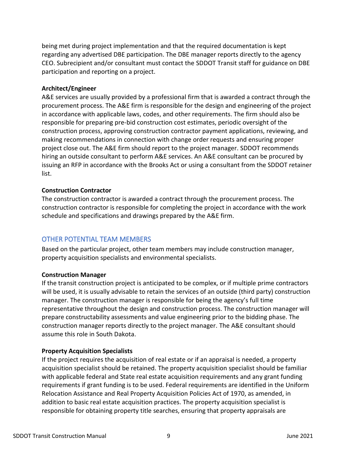being met during project implementation and that the required documentation is kept regarding any advertised DBE participation. The DBE manager reports directly to the agency CEO. Subrecipient and/or consultant must contact the SDDOT Transit staff for guidance on DBE participation and reporting on a project.

#### **Architect/Engineer**

A&E services are usually provided by a professional firm that is awarded a contract through the procurement process. The A&E firm is responsible for the design and engineering of the project in accordance with applicable laws, codes, and other requirements. The firm should also be responsible for preparing pre-bid construction cost estimates, periodic oversight of the construction process, approving construction contractor payment applications, reviewing, and making recommendations in connection with change order requests and ensuring proper project close out. The A&E firm should report to the project manager. SDDOT recommends hiring an outside consultant to perform A&E services. An A&E consultant can be procured by issuing an RFP in accordance with the Brooks Act or using a consultant from the SDDOT retainer list.

#### **Construction Contractor**

The construction contractor is awarded a contract through the procurement process. The construction contractor is responsible for completing the project in accordance with the work schedule and specifications and drawings prepared by the A&E firm.

## <span id="page-9-0"></span>OTHER POTENTIAL TEAM MEMBERS

Based on the particular project, other team members may include construction manager, property acquisition specialists and environmental specialists.

#### **Construction Manager**

If the transit construction project is anticipated to be complex, or if multiple prime contractors will be used, it is usually advisable to retain the services of an outside (third party) construction manager. The construction manager is responsible for being the agency's full time representative throughout the design and construction process. The construction manager will prepare constructability assessments and value engineering prior to the bidding phase. The construction manager reports directly to the project manager. The A&E consultant should assume this role in South Dakota.

#### **Property Acquisition Specialists**

If the project requires the acquisition of real estate or if an appraisal is needed, a property acquisition specialist should be retained. The property acquisition specialist should be familiar with applicable federal and State real estate acquisition requirements and any grant funding requirements if grant funding is to be used. Federal requirements are identified in the Uniform Relocation Assistance and Real Property Acquisition Policies Act of 1970, as amended, in addition to basic real estate acquisition practices. The property acquisition specialist is responsible for obtaining property title searches, ensuring that property appraisals are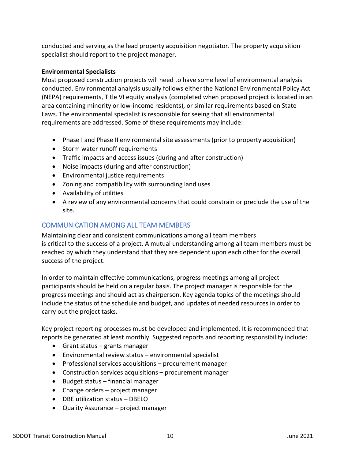conducted and serving as the lead property acquisition negotiator. The property acquisition specialist should report to the project manager.

## **Environmental Specialists**

Most proposed construction projects will need to have some level of environmental analysis conducted. Environmental analysis usually follows either the National Environmental Policy Act (NEPA) requirements, Title VI equity analysis (completed when proposed project is located in an area containing minority or low-income residents), or similar requirements based on State Laws. The environmental specialist is responsible for seeing that all environmental requirements are addressed. Some of these requirements may include:

- Phase I and Phase II environmental site assessments (prior to property acquisition)
- Storm water runoff requirements
- Traffic impacts and access issues (during and after construction)
- Noise impacts (during and after construction)
- Environmental justice requirements
- Zoning and compatibility with surrounding land uses
- Availability of utilities
- A review of any environmental concerns that could constrain or preclude the use of the site.

## <span id="page-10-0"></span>COMMUNICATION AMONG ALL TEAM MEMBERS

Maintaining clear and consistent communications among all team members is critical to the success of a project. A mutual understanding among all team members must be reached by which they understand that they are dependent upon each other for the overall success of the project.

In order to maintain effective communications, progress meetings among all project participants should be held on a regular basis. The project manager is responsible for the progress meetings and should act as chairperson. Key agenda topics of the meetings should include the status of the schedule and budget, and updates of needed resources in order to carry out the project tasks.

Key project reporting processes must be developed and implemented. It is recommended that reports be generated at least monthly. Suggested reports and reporting responsibility include:

- Grant status grants manager
- Environmental review status environmental specialist
- Professional services acquisitions procurement manager
- Construction services acquisitions procurement manager
- Budget status financial manager
- Change orders project manager
- DBE utilization status DBELO
- Quality Assurance project manager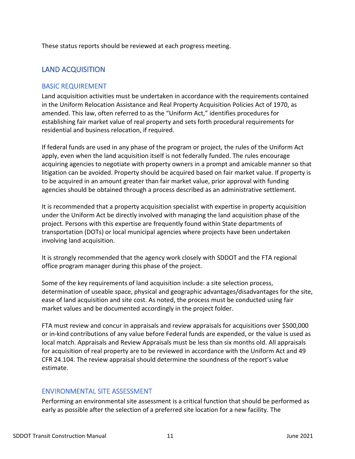<span id="page-11-0"></span>These status reports should be reviewed at each progress meeting.

## LAND ACQUISITION

## <span id="page-11-1"></span>BASIC REQUIREMENT

Land acquisition activities must be undertaken in accordance with the requirements contained in the Uniform Relocation Assistance and Real Property Acquisition Policies Act of 1970, as amended. This law, often referred to as the "Uniform Act," identifies procedures for establishing fair market value of real property and sets forth procedural requirements for residential and business relocation, if required.

If federal funds are used in any phase of the program or project, the rules of the Uniform Act apply, even when the land acquisition itself is not federally funded. The rules encourage acquiring agencies to negotiate with property owners in a prompt and amicable manner so that litigation can be avoided. Property should be acquired based on fair market value. If property is to be acquired in an amount greater than fair market value, prior approval with funding agencies should be obtained through a process described as an administrative settlement.

It is recommended that a property acquisition specialist with expertise in property acquisition under the Uniform Act be directly involved with managing the land acquisition phase of the project. Persons with this expertise are frequently found within State departments of transportation (DOTs) or local municipal agencies where projects have been undertaken involving land acquisition.

It is strongly recommended that the agency work closely with SDDOT and the FTA regional office program manager during this phase of the project.

Some of the key requirements of land acquisition include: a site selection process, determination of useable space, physical and geographic advantages/disadvantages for the site, ease of land acquisition and site cost. As noted, the process must be conducted using fair market values and be documented accordingly in the project folder.

FTA must review and concur in appraisals and review appraisals for acquisitions over \$500,000 or in-kind contributions of any value before Federal funds are expended, or the value is used as local match. Appraisals and Review Appraisals must be less than six months old. All appraisals for acquisition of real property are to be reviewed in accordance with the Uniform Act and 49 CFR 24.104. The review appraisal should determine the soundness of the report's value estimate.

## <span id="page-11-2"></span>ENVIRONMENTAL SITE ASSESSMENT

Performing an environmental site assessment is a critical function that should be performed as early as possible after the selection of a preferred site location for a new facility. The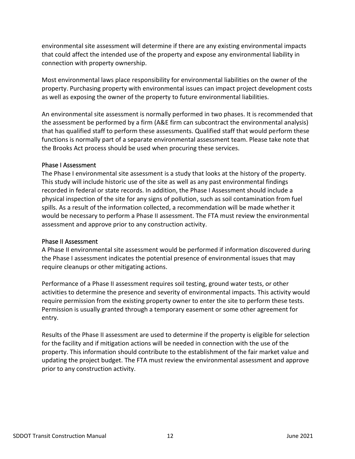environmental site assessment will determine if there are any existing environmental impacts that could affect the intended use of the property and expose any environmental liability in connection with property ownership.

Most environmental laws place responsibility for environmental liabilities on the owner of the property. Purchasing property with environmental issues can impact project development costs as well as exposing the owner of the property to future environmental liabilities.

An environmental site assessment is normally performed in two phases. It is recommended that the assessment be performed by a firm (A&E firm can subcontract the environmental analysis) that has qualified staff to perform these assessments. Qualified staff that would perform these functions is normally part of a separate environmental assessment team. Please take note that the Brooks Act process should be used when procuring these services.

### Phase I Assessment

The Phase I environmental site assessment is a study that looks at the history of the property. This study will include historic use of the site as well as any past environmental findings recorded in federal or state records. In addition, the Phase I Assessment should include a physical inspection of the site for any signs of pollution, such as soil contamination from fuel spills. As a result of the information collected, a recommendation will be made whether it would be necessary to perform a Phase II assessment. The FTA must review the environmental assessment and approve prior to any construction activity.

### Phase II Assessment

A Phase II environmental site assessment would be performed if information discovered during the Phase I assessment indicates the potential presence of environmental issues that may require cleanups or other mitigating actions.

Performance of a Phase II assessment requires soil testing, ground water tests, or other activities to determine the presence and severity of environmental impacts. This activity would require permission from the existing property owner to enter the site to perform these tests. Permission is usually granted through a temporary easement or some other agreement for entry.

Results of the Phase II assessment are used to determine if the property is eligible for selection for the facility and if mitigation actions will be needed in connection with the use of the property. This information should contribute to the establishment of the fair market value and updating the project budget. The FTA must review the environmental assessment and approve prior to any construction activity.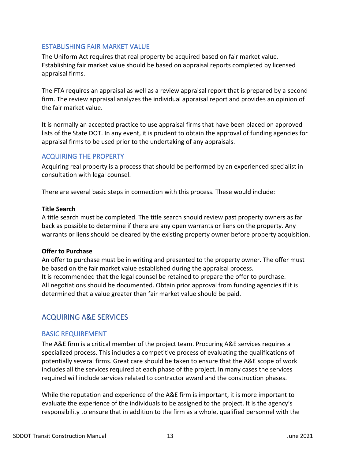## <span id="page-13-0"></span>ESTABLISHING FAIR MARKET VALUE

The Uniform Act requires that real property be acquired based on fair market value. Establishing fair market value should be based on appraisal reports completed by licensed appraisal firms.

The FTA requires an appraisal as well as a review appraisal report that is prepared by a second firm. The review appraisal analyzes the individual appraisal report and provides an opinion of the fair market value.

It is normally an accepted practice to use appraisal firms that have been placed on approved lists of the State DOT. In any event, it is prudent to obtain the approval of funding agencies for appraisal firms to be used prior to the undertaking of any appraisals.

## <span id="page-13-1"></span>ACQUIRING THE PROPERTY

Acquiring real property is a process that should be performed by an experienced specialist in consultation with legal counsel.

There are several basic steps in connection with this process. These would include:

#### **Title Search**

A title search must be completed. The title search should review past property owners as far back as possible to determine if there are any open warrants or liens on the property. Any warrants or liens should be cleared by the existing property owner before property acquisition.

### **Offer to Purchase**

An offer to purchase must be in writing and presented to the property owner. The offer must be based on the fair market value established during the appraisal process. It is recommended that the legal counsel be retained to prepare the offer to purchase. All negotiations should be documented. Obtain prior approval from funding agencies if it is determined that a value greater than fair market value should be paid.

## <span id="page-13-2"></span>ACQUIRING A&E SERVICES

## <span id="page-13-3"></span>BASIC REQUIREMENT

The A&E firm is a critical member of the project team. Procuring A&E services requires a specialized process. This includes a competitive process of evaluating the qualifications of potentially several firms. Great care should be taken to ensure that the A&E scope of work includes all the services required at each phase of the project. In many cases the services required will include services related to contractor award and the construction phases.

While the reputation and experience of the A&E firm is important, it is more important to evaluate the experience of the individuals to be assigned to the project. It is the agency's responsibility to ensure that in addition to the firm as a whole, qualified personnel with the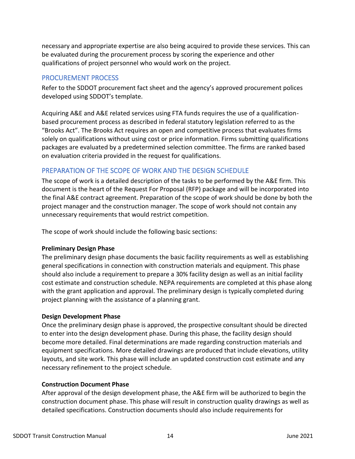necessary and appropriate expertise are also being acquired to provide these services. This can be evaluated during the procurement process by scoring the experience and other qualifications of project personnel who would work on the project.

## <span id="page-14-0"></span>PROCUREMENT PROCESS

Refer to the SDDOT procurement fact sheet and the agency's approved procurement polices developed using SDDOT's template.

Acquiring A&E and A&E related services using FTA funds requires the use of a qualificationbased procurement process as described in federal statutory legislation referred to as the "Brooks Act". The Brooks Act requires an open and competitive process that evaluates firms solely on qualifications without using cost or price information. Firms submitting qualifications packages are evaluated by a predetermined selection committee. The firms are ranked based on evaluation criteria provided in the request for qualifications.

## <span id="page-14-1"></span>PREPARATION OF THE SCOPE OF WORK AND THE DESIGN SCHEDULE

The scope of work is a detailed description of the tasks to be performed by the A&E firm. This document is the heart of the Request For Proposal (RFP) package and will be incorporated into the final A&E contract agreement. Preparation of the scope of work should be done by both the project manager and the construction manager. The scope of work should not contain any unnecessary requirements that would restrict competition.

The scope of work should include the following basic sections:

## **Preliminary Design Phase**

The preliminary design phase documents the basic facility requirements as well as establishing general specifications in connection with construction materials and equipment. This phase should also include a requirement to prepare a 30% facility design as well as an initial facility cost estimate and construction schedule. NEPA requirements are completed at this phase along with the grant application and approval. The preliminary design is typically completed during project planning with the assistance of a planning grant.

## **Design Development Phase**

Once the preliminary design phase is approved, the prospective consultant should be directed to enter into the design development phase. During this phase, the facility design should become more detailed. Final determinations are made regarding construction materials and equipment specifications. More detailed drawings are produced that include elevations, utility layouts, and site work. This phase will include an updated construction cost estimate and any necessary refinement to the project schedule.

### **Construction Document Phase**

After approval of the design development phase, the A&E firm will be authorized to begin the construction document phase. This phase will result in construction quality drawings as well as detailed specifications. Construction documents should also include requirements for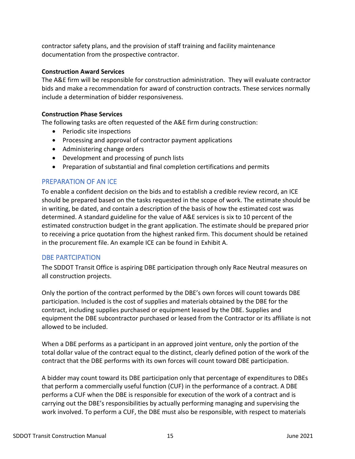contractor safety plans, and the provision of staff training and facility maintenance documentation from the prospective contractor.

## **Construction Award Services**

The A&E firm will be responsible for construction administration. They will evaluate contractor bids and make a recommendation for award of construction contracts. These services normally include a determination of bidder responsiveness.

## **Construction Phase Services**

The following tasks are often requested of the A&E firm during construction:

- Periodic site inspections
- Processing and approval of contractor payment applications
- Administering change orders
- Development and processing of punch lists
- Preparation of substantial and final completion certifications and permits

## <span id="page-15-0"></span>PREPARATION OF AN ICE

To enable a confident decision on the bids and to establish a credible review record, an ICE should be prepared based on the tasks requested in the scope of work. The estimate should be in writing, be dated, and contain a description of the basis of how the estimated cost was determined. A standard guideline for the value of A&E services is six to 10 percent of the estimated construction budget in the grant application. The estimate should be prepared prior to receiving a price quotation from the highest ranked firm. This document should be retained in the procurement file. An example ICE can be found in Exhibit A.

## <span id="page-15-1"></span>DBE PARTCIPATION

The SDDOT Transit Office is aspiring DBE participation through only Race Neutral measures on all construction projects.

Only the portion of the contract performed by the DBE's own forces will count towards DBE participation. Included is the cost of supplies and materials obtained by the DBE for the contract, including supplies purchased or equipment leased by the DBE. Supplies and equipment the DBE subcontractor purchased or leased from the Contractor or its affiliate is not allowed to be included.

When a DBE performs as a participant in an approved joint venture, only the portion of the total dollar value of the contract equal to the distinct, clearly defined potion of the work of the contract that the DBE performs with its own forces will count toward DBE participation.

A bidder may count toward its DBE participation only that percentage of expenditures to DBEs that perform a commercially useful function (CUF) in the performance of a contract. A DBE performs a CUF when the DBE is responsible for execution of the work of a contract and is carrying out the DBE's responsibilities by actually performing managing and supervising the work involved. To perform a CUF, the DBE must also be responsible, with respect to materials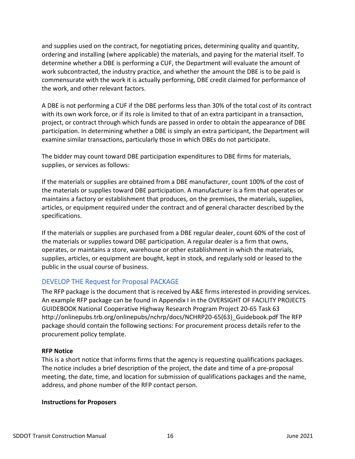and supplies used on the contract, for negotiating prices, determining quality and quantity, ordering and installing (where applicable) the materials, and paying for the material itself. To determine whether a DBE is performing a CUF, the Department will evaluate the amount of work subcontracted, the industry practice, and whether the amount the DBE is to be paid is commensurate with the work it is actually performing, DBE credit claimed for performance of the work, and other relevant factors.

A DBE is not performing a CUF if the DBE performs less than 30% of the total cost of its contract with its own work force, or if its role is limited to that of an extra participant in a transaction, project, or contract through which funds are passed in order to obtain the appearance of DBE participation. In determining whether a DBE is simply an extra participant, the Department will examine similar transactions, particularly those in which DBEs do not participate.

The bidder may count toward DBE participation expenditures to DBE firms for materials, supplies, or services as follows:

If the materials or supplies are obtained from a DBE manufacturer, count 100% of the cost of the materials or supplies toward DBE participation. A manufacturer is a firm that operates or maintains a factory or establishment that produces, on the premises, the materials, supplies, articles, or equipment required under the contract and of general character described by the specifications.

If the materials or supplies are purchased from a DBE regular dealer, count 60% of the cost of the materials or supplies toward DBE participation. A regular dealer is a firm that owns, operates, or maintains a store, warehouse or other establishment in which the materials, supplies, articles, or equipment are bought, kept in stock, and regularly sold or leased to the public in the usual course of business.

## <span id="page-16-0"></span>DEVELOP THE Request for Proposal PACKAGE

The RFP package is the document that is received by A&E firms interested in providing services. An example RFP package can be found in Appendix I in the OVERSIGHT OF FACILITY PROJECTS GUIDEBOOK National Cooperative Highway Research Program Project 20-65 Task 63 http://onlinepubs.trb.org/onlinepubs/nchrp/docs/NCHRP20-65(63)\_Guidebook.pdf The RFP package should contain the following sections: For procurement process details refer to the procurement policy template.

### **RFP Notice**

This is a short notice that informs firms that the agency is requesting qualifications packages. The notice includes a brief description of the project, the date and time of a pre-proposal meeting, the date, time, and location for submission of qualifications packages and the name, address, and phone number of the RFP contact person.

### **Instructions for Proposers**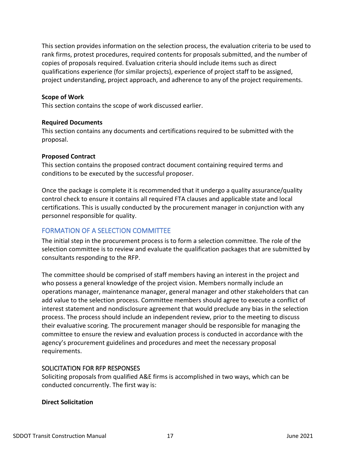This section provides information on the selection process, the evaluation criteria to be used to rank firms, protest procedures, required contents for proposals submitted, and the number of copies of proposals required. Evaluation criteria should include items such as direct qualifications experience (for similar projects), experience of project staff to be assigned, project understanding, project approach, and adherence to any of the project requirements.

#### **Scope of Work**

This section contains the scope of work discussed earlier.

#### **Required Documents**

This section contains any documents and certifications required to be submitted with the proposal.

#### **Proposed Contract**

This section contains the proposed contract document containing required terms and conditions to be executed by the successful proposer.

Once the package is complete it is recommended that it undergo a quality assurance/quality control check to ensure it contains all required FTA clauses and applicable state and local certifications. This is usually conducted by the procurement manager in conjunction with any personnel responsible for quality.

## <span id="page-17-0"></span>FORMATION OF A SELECTION COMMITTEE

The initial step in the procurement process is to form a selection committee. The role of the selection committee is to review and evaluate the qualification packages that are submitted by consultants responding to the RFP.

The committee should be comprised of staff members having an interest in the project and who possess a general knowledge of the project vision. Members normally include an operations manager, maintenance manager, general manager and other stakeholders that can add value to the selection process. Committee members should agree to execute a conflict of interest statement and nondisclosure agreement that would preclude any bias in the selection process. The process should include an independent review, prior to the meeting to discuss their evaluative scoring. The procurement manager should be responsible for managing the committee to ensure the review and evaluation process is conducted in accordance with the agency's procurement guidelines and procedures and meet the necessary proposal requirements.

### SOLICITATION FOR RFP RESPONSES

Soliciting proposals from qualified A&E firms is accomplished in two ways, which can be conducted concurrently. The first way is:

#### **Direct Solicitation**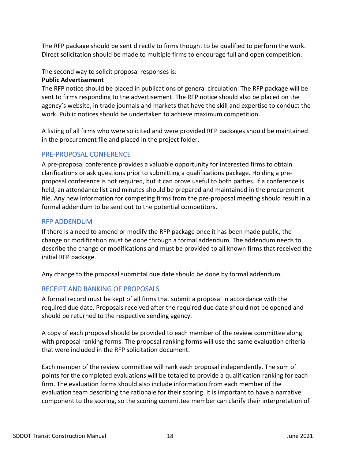The RFP package should be sent directly to firms thought to be qualified to perform the work. Direct solicitation should be made to multiple firms to encourage full and open competition.

The second way to solicit proposal responses is:

## **Public Advertisement**

The RFP notice should be placed in publications of general circulation. The RFP package will be sent to firms responding to the advertisement. The RFP notice should also be placed on the agency's website, in trade journals and markets that have the skill and expertise to conduct the work. Public notices should be undertaken to achieve maximum competition.

A listing of all firms who were solicited and were provided RFP packages should be maintained in the procurement file and placed in the project folder.

## <span id="page-18-0"></span>PRE-PROPOSAL CONFERENCE

A pre-proposal conference provides a valuable opportunity for interested firms to obtain clarifications or ask questions prior to submitting a qualifications package. Holding a preproposal conference is not required, but it can prove useful to both parties. If a conference is held, an attendance list and minutes should be prepared and maintained in the procurement file. Any new information for competing firms from the pre-proposal meeting should result in a formal addendum to be sent out to the potential competitors.

## <span id="page-18-1"></span>RFP ADDENDUM

If there is a need to amend or modify the RFP package once it has been made public, the change or modification must be done through a formal addendum. The addendum needs to describe the change or modifications and must be provided to all known firms that received the initial RFP package.

Any change to the proposal submittal due date should be done by formal addendum.

## <span id="page-18-2"></span>RECEIPT AND RANKING OF PROPOSALS

A formal record must be kept of all firms that submit a proposal in accordance with the required due date. Proposals received after the required due date should not be opened and should be returned to the respective sending agency.

A copy of each proposal should be provided to each member of the review committee along with proposal ranking forms. The proposal ranking forms will use the same evaluation criteria that were included in the RFP solicitation document.

Each member of the review committee will rank each proposal independently. The sum of points for the completed evaluations will be totaled to provide a qualification ranking for each firm. The evaluation forms should also include information from each member of the evaluation team describing the rationale for their scoring. It is important to have a narrative component to the scoring, so the scoring committee member can clarify their interpretation of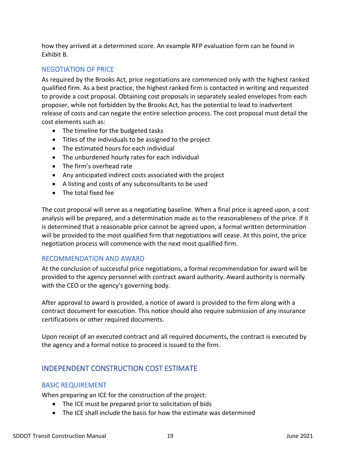how they arrived at a determined score. An example RFP evaluation form can be found in Exhibit B.

## <span id="page-19-0"></span>NEGOTIATION OF PRICE

As required by the Brooks Act, price negotiations are commenced only with the highest ranked qualified firm. As a best practice, the highest ranked firm is contacted in writing and requested to provide a cost proposal. Obtaining cost proposals in separately sealed envelopes from each proposer, while not forbidden by the Brooks Act, has the potential to lead to inadvertent release of costs and can negate the entire selection process. The cost proposal must detail the cost elements such as:

- The timeline for the budgeted tasks
- Titles of the individuals to be assigned to the project
- The estimated hours for each individual
- The unburdened hourly rates for each individual
- The firm's overhead rate
- Any anticipated indirect costs associated with the project
- A listing and costs of any subconsultants to be used
- The total fixed fee

The cost proposal will serve as a negotiating baseline. When a final price is agreed upon, a cost analysis will be prepared, and a determination made as to the reasonableness of the price. If it is determined that a reasonable price cannot be agreed upon, a formal written determination will be provided to the most qualified firm that negotiations will cease. At this point, the price negotiation process will commence with the next most qualified firm.

## <span id="page-19-1"></span>RECOMMENDATION AND AWARD

At the conclusion of successful price negotiations, a formal recommendation for award will be provided to the agency personnel with contract award authority. Award authority is normally with the CEO or the agency's governing body.

After approval to award is provided, a notice of award is provided to the firm along with a contract document for execution. This notice should also require submission of any insurance certifications or other required documents.

Upon receipt of an executed contract and all required documents, the contract is executed by the agency and a formal notice to proceed is issued to the firm.

## <span id="page-19-2"></span>INDEPENDENT CONSTRUCTION COST ESTIMATE

## <span id="page-19-3"></span>BASIC REQUIREMENT

When preparing an ICE for the construction of the project:

- The ICE must be prepared prior to solicitation of bids
- The ICE shall include the basis for how the estimate was determined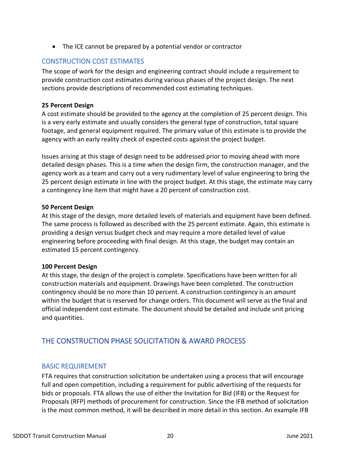• The ICE cannot be prepared by a potential vendor or contractor

## <span id="page-20-0"></span>CONSTRUCTION COST ESTIMATES

The scope of work for the design and engineering contract should include a requirement to provide construction cost estimates during various phases of the project design. The next sections provide descriptions of recommended cost estimating techniques.

## **25 Percent Design**

A cost estimate should be provided to the agency at the completion of 25 percent design. This is a very early estimate and usually considers the general type of construction, total square footage, and general equipment required. The primary value of this estimate is to provide the agency with an early reality check of expected costs against the project budget.

Issues arising at this stage of design need to be addressed prior to moving ahead with more detailed design phases. This is a time when the design firm, the construction manager, and the agency work as a team and carry out a very rudimentary level of value engineering to bring the 25 percent design estimate in line with the project budget. At this stage, the estimate may carry a contingency line item that might have a 20 percent of construction cost.

### **50 Percent Design**

At this stage of the design, more detailed levels of materials and equipment have been defined. The same process is followed as described with the 25 percent estimate. Again, this estimate is providing a design versus budget check and may require a more detailed level of value engineering before proceeding with final design. At this stage, the budget may contain an estimated 15 percent contingency.

### **100 Percent Design**

At this stage, the design of the project is complete. Specifications have been written for all construction materials and equipment. Drawings have been completed. The construction contingency should be no more than 10 percent. A construction contingency is an amount within the budget that is reserved for change orders. This document will serve as the final and official independent cost estimate. The document should be detailed and include unit pricing and quantities.

## <span id="page-20-1"></span>THE CONSTRUCTION PHASE SOLICITATION & AWARD PROCESS

## <span id="page-20-2"></span>BASIC REQUIREMENT

FTA requires that construction solicitation be undertaken using a process that will encourage full and open competition, including a requirement for public advertising of the requests for bids or proposals. FTA allows the use of either the Invitation for Bid (IFB) or the Request for Proposals (RFP) methods of procurement for construction. Since the IFB method of solicitation is the most common method, it will be described in more detail in this section. An example IFB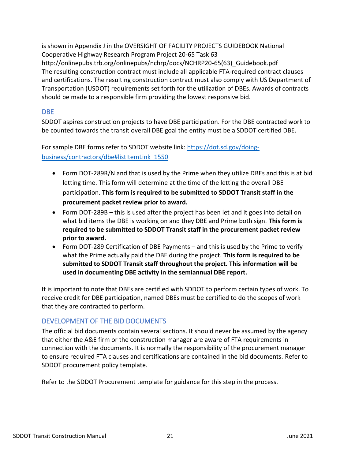is shown in Appendix J in the OVERSIGHT OF FACILITY PROJECTS GUIDEBOOK National Cooperative Highway Research Program Project 20-65 Task 63 http://onlinepubs.trb.org/onlinepubs/nchrp/docs/NCHRP20-65(63)\_Guidebook.pdf The resulting construction contract must include all applicable FTA-required contract clauses and certifications. The resulting construction contract must also comply with US Department of Transportation (USDOT) requirements set forth for the utilization of DBEs. Awards of contracts should be made to a responsible firm providing the lowest responsive bid.

## <span id="page-21-0"></span>DBE

SDDOT aspires construction projects to have DBE participation. For the DBE contracted work to be counted towards the transit overall DBE goal the entity must be a SDDOT certified DBE.

For sample DBE forms refer to SDDOT website link: [https://dot.sd.gov/doing](https://dot.sd.gov/doing-business/contractors/dbe#listItemLink_1550)[business/contractors/dbe#listItemLink\\_1550](https://dot.sd.gov/doing-business/contractors/dbe#listItemLink_1550)

- Form DOT-289R/N and that is used by the Prime when they utilize DBEs and this is at bid letting time. This form will determine at the time of the letting the overall DBE participation. **This form is required to be submitted to SDDOT Transit staff in the procurement packet review prior to award.**
- Form DOT-289B this is used after the project has been let and it goes into detail on what bid items the DBE is working on and they DBE and Prime both sign. **This form is required to be submitted to SDDOT Transit staff in the procurement packet review prior to award.**
- Form DOT-289 Certification of DBE Payments and this is used by the Prime to verify what the Prime actually paid the DBE during the project. **This form is required to be submitted to SDDOT Transit staff throughout the project. This information will be used in documenting DBE activity in the semiannual DBE report.**

It is important to note that DBEs are certified with SDDOT to perform certain types of work. To receive credit for DBE participation, named DBEs must be certified to do the scopes of work that they are contracted to perform.

## <span id="page-21-1"></span>DEVELOPMENT OF THE BID DOCUMENTS

The official bid documents contain several sections. It should never be assumed by the agency that either the A&E firm or the construction manager are aware of FTA requirements in connection with the documents. It is normally the responsibility of the procurement manager to ensure required FTA clauses and certifications are contained in the bid documents. Refer to SDDOT procurement policy template.

Refer to the SDDOT Procurement template for guidance for this step in the process.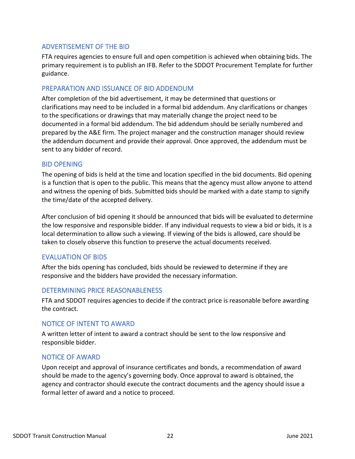## <span id="page-22-0"></span>ADVERTISEMENT OF THE BID

FTA requires agencies to ensure full and open competition is achieved when obtaining bids. The primary requirement is to publish an IFB. Refer to the SDDOT Procurement Template for further guidance.

## <span id="page-22-1"></span>PREPARATION AND ISSUANCE OF BID ADDENDUM

After completion of the bid advertisement, it may be determined that questions or clarifications may need to be included in a formal bid addendum. Any clarifications or changes to the specifications or drawings that may materially change the project need to be documented in a formal bid addendum. The bid addendum should be serially numbered and prepared by the A&E firm. The project manager and the construction manager should review the addendum document and provide their approval. Once approved, the addendum must be sent to any bidder of record.

## <span id="page-22-2"></span>BID OPENING

The opening of bids is held at the time and location specified in the bid documents. Bid opening is a function that is open to the public. This means that the agency must allow anyone to attend and witness the opening of bids. Submitted bids should be marked with a date stamp to signify the time/date of the accepted delivery.

After conclusion of bid opening it should be announced that bids will be evaluated to determine the low responsive and responsible bidder. If any individual requests to view a bid or bids, it is a local determination to allow such a viewing. If viewing of the bids is allowed, care should be taken to closely observe this function to preserve the actual documents received.

## <span id="page-22-3"></span>EVALUATION OF BIDS

After the bids opening has concluded, bids should be reviewed to determine if they are responsive and the bidders have provided the necessary information.

## <span id="page-22-4"></span>DETERMINING PRICE REASONABLENESS

FTA and SDDOT requires agencies to decide if the contract price is reasonable before awarding the contract.

## <span id="page-22-5"></span>NOTICE OF INTENT TO AWARD

A written letter of intent to award a contract should be sent to the low responsive and responsible bidder.

## <span id="page-22-6"></span>NOTICE OF AWARD

Upon receipt and approval of insurance certificates and bonds, a recommendation of award should be made to the agency's governing body. Once approval to award is obtained, the agency and contractor should execute the contract documents and the agency should issue a formal letter of award and a notice to proceed.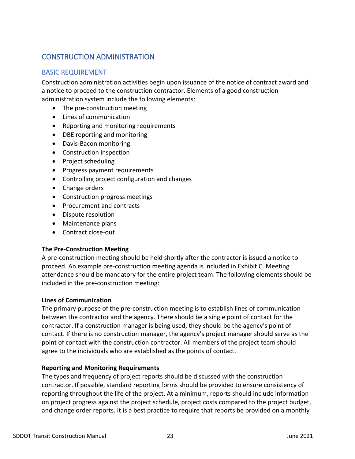## <span id="page-23-0"></span>CONSTRUCTION ADMINISTRATION

## <span id="page-23-1"></span>BASIC REQUIREMENT

Construction administration activities begin upon issuance of the notice of contract award and a notice to proceed to the construction contractor. Elements of a good construction administration system include the following elements:

- The pre-construction meeting
- Lines of communication
- Reporting and monitoring requirements
- DBE reporting and monitoring
- Davis-Bacon monitoring
- Construction inspection
- Project scheduling
- Progress payment requirements
- Controlling project configuration and changes
- Change orders
- Construction progress meetings
- Procurement and contracts
- Dispute resolution
- Maintenance plans
- Contract close-out

## **The Pre-Construction Meeting**

A pre-construction meeting should be held shortly after the contractor is issued a notice to proceed. An example pre-construction meeting agenda is included in Exhibit C. Meeting attendance should be mandatory for the entire project team. The following elements should be included in the pre-construction meeting:

## **Lines of Communication**

The primary purpose of the pre-construction meeting is to establish lines of communication between the contractor and the agency. There should be a single point of contact for the contractor. If a construction manager is being used, they should be the agency's point of contact. If there is no construction manager, the agency's project manager should serve as the point of contact with the construction contractor. All members of the project team should agree to the individuals who are established as the points of contact.

## **Reporting and Monitoring Requirements**

The types and frequency of project reports should be discussed with the construction contractor. If possible, standard reporting forms should be provided to ensure consistency of reporting throughout the life of the project. At a minimum, reports should include information on project progress against the project schedule, project costs compared to the project budget, and change order reports. It is a best practice to require that reports be provided on a monthly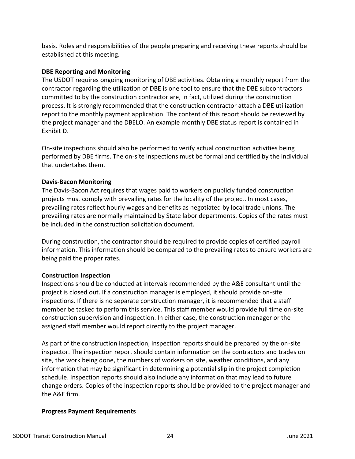basis. Roles and responsibilities of the people preparing and receiving these reports should be established at this meeting.

## **DBE Reporting and Monitoring**

The USDOT requires ongoing monitoring of DBE activities. Obtaining a monthly report from the contractor regarding the utilization of DBE is one tool to ensure that the DBE subcontractors committed to by the construction contractor are, in fact, utilized during the construction process. It is strongly recommended that the construction contractor attach a DBE utilization report to the monthly payment application. The content of this report should be reviewed by the project manager and the DBELO. An example monthly DBE status report is contained in Exhibit D.

On-site inspections should also be performed to verify actual construction activities being performed by DBE firms. The on-site inspections must be formal and certified by the individual that undertakes them.

### **Davis-Bacon Monitoring**

The Davis-Bacon Act requires that wages paid to workers on publicly funded construction projects must comply with prevailing rates for the locality of the project. In most cases, prevailing rates reflect hourly wages and benefits as negotiated by local trade unions. The prevailing rates are normally maintained by State labor departments. Copies of the rates must be included in the construction solicitation document.

During construction, the contractor should be required to provide copies of certified payroll information. This information should be compared to the prevailing rates to ensure workers are being paid the proper rates.

## **Construction Inspection**

Inspections should be conducted at intervals recommended by the A&E consultant until the project is closed out. If a construction manager is employed, it should provide on-site inspections. If there is no separate construction manager, it is recommended that a staff member be tasked to perform this service. This staff member would provide full time on-site construction supervision and inspection. In either case, the construction manager or the assigned staff member would report directly to the project manager.

As part of the construction inspection, inspection reports should be prepared by the on-site inspector. The inspection report should contain information on the contractors and trades on site, the work being done, the numbers of workers on site, weather conditions, and any information that may be significant in determining a potential slip in the project completion schedule. Inspection reports should also include any information that may lead to future change orders. Copies of the inspection reports should be provided to the project manager and the A&E firm.

## **Progress Payment Requirements**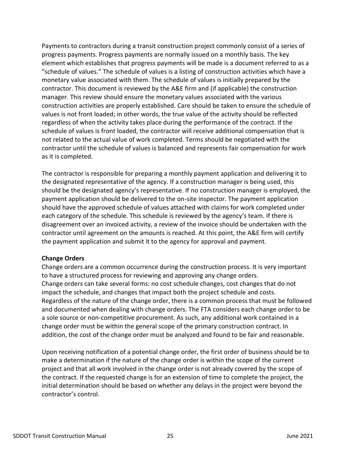Payments to contractors during a transit construction project commonly consist of a series of progress payments. Progress payments are normally issued on a monthly basis. The key element which establishes that progress payments will be made is a document referred to as a "schedule of values." The schedule of values is a listing of construction activities which have a monetary value associated with them. The schedule of values is initially prepared by the contractor. This document is reviewed by the A&E firm and (if applicable) the construction manager. This review should ensure the monetary values associated with the various construction activities are properly established. Care should be taken to ensure the schedule of values is not front loaded; in other words, the true value of the activity should be reflected regardless of when the activity takes place during the performance of the contract. If the schedule of values is front loaded, the contractor will receive additional compensation that is not related to the actual value of work completed. Terms should be negotiated with the contractor until the schedule of values is balanced and represents fair compensation for work as it is completed.

The contractor is responsible for preparing a monthly payment application and delivering it to the designated representative of the agency. If a construction manager is being used, this should be the designated agency's representative. If no construction manager is employed, the payment application should be delivered to the on-site inspector. The payment application should have the approved schedule of values attached with claims for work completed under each category of the schedule. This schedule is reviewed by the agency's team. If there is disagreement over an invoiced activity, a review of the invoice should be undertaken with the contractor until agreement on the amounts is reached. At this point, the A&E firm will certify the payment application and submit it to the agency for approval and payment.

### **Change Orders**

Change orders are a common occurrence during the construction process. It is very important to have a structured process for reviewing and approving any change orders. Change orders can take several forms: no cost schedule changes, cost changes that do not impact the schedule, and changes that impact both the project schedule and costs. Regardless of the nature of the change order, there is a common process that must be followed and documented when dealing with change orders. The FTA considers each change order to be a sole source or non-competitive procurement. As such, any additional work contained in a change order must be within the general scope of the primary construction contract. In addition, the cost of the change order must be analyzed and found to be fair and reasonable.

Upon receiving notification of a potential change order, the first order of business should be to make a determination if the nature of the change order is within the scope of the current project and that all work involved in the change order is not already covered by the scope of the contract. If the requested change is for an extension of time to complete the project, the initial determination should be based on whether any delays in the project were beyond the contractor's control.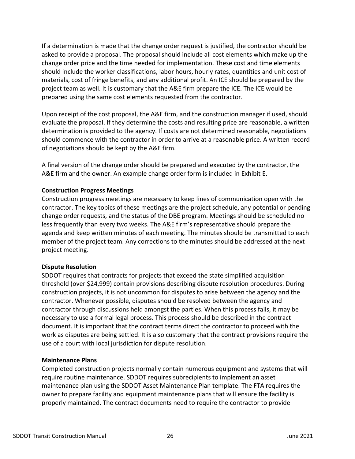If a determination is made that the change order request is justified, the contractor should be asked to provide a proposal. The proposal should include all cost elements which make up the change order price and the time needed for implementation. These cost and time elements should include the worker classifications, labor hours, hourly rates, quantities and unit cost of materials, cost of fringe benefits, and any additional profit. An ICE should be prepared by the project team as well. It is customary that the A&E firm prepare the ICE. The ICE would be prepared using the same cost elements requested from the contractor.

Upon receipt of the cost proposal, the A&E firm, and the construction manager if used, should evaluate the proposal. If they determine the costs and resulting price are reasonable, a written determination is provided to the agency. If costs are not determined reasonable, negotiations should commence with the contractor in order to arrive at a reasonable price. A written record of negotiations should be kept by the A&E firm.

A final version of the change order should be prepared and executed by the contractor, the A&E firm and the owner. An example change order form is included in Exhibit E.

## **Construction Progress Meetings**

Construction progress meetings are necessary to keep lines of communication open with the contractor. The key topics of these meetings are the project schedule, any potential or pending change order requests, and the status of the DBE program. Meetings should be scheduled no less frequently than every two weeks. The A&E firm's representative should prepare the agenda and keep written minutes of each meeting. The minutes should be transmitted to each member of the project team. Any corrections to the minutes should be addressed at the next project meeting.

### **Dispute Resolution**

SDDOT requires that contracts for projects that exceed the state simplified acquisition threshold (over \$24,999) contain provisions describing dispute resolution procedures. During construction projects, it is not uncommon for disputes to arise between the agency and the contractor. Whenever possible, disputes should be resolved between the agency and contractor through discussions held amongst the parties. When this process fails, it may be necessary to use a formal legal process. This process should be described in the contract document. It is important that the contract terms direct the contractor to proceed with the work as disputes are being settled. It is also customary that the contract provisions require the use of a court with local jurisdiction for dispute resolution.

### **Maintenance Plans**

Completed construction projects normally contain numerous equipment and systems that will require routine maintenance. SDDOT requires subrecipients to implement an asset maintenance plan using the SDDOT Asset Maintenance Plan template. The FTA requires the owner to prepare facility and equipment maintenance plans that will ensure the facility is properly maintained. The contract documents need to require the contractor to provide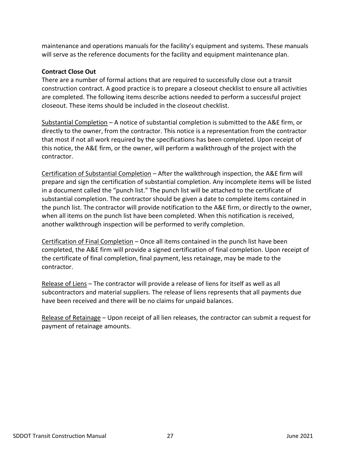maintenance and operations manuals for the facility's equipment and systems. These manuals will serve as the reference documents for the facility and equipment maintenance plan.

## **Contract Close Out**

There are a number of formal actions that are required to successfully close out a transit construction contract. A good practice is to prepare a closeout checklist to ensure all activities are completed. The following items describe actions needed to perform a successful project closeout. These items should be included in the closeout checklist.

Substantial Completion – A notice of substantial completion is submitted to the A&E firm, or directly to the owner, from the contractor. This notice is a representation from the contractor that most if not all work required by the specifications has been completed. Upon receipt of this notice, the A&E firm, or the owner, will perform a walkthrough of the project with the contractor.

Certification of Substantial Completion – After the walkthrough inspection, the A&E firm will prepare and sign the certification of substantial completion. Any incomplete items will be listed in a document called the "punch list." The punch list will be attached to the certificate of substantial completion. The contractor should be given a date to complete items contained in the punch list. The contractor will provide notification to the A&E firm, or directly to the owner, when all items on the punch list have been completed. When this notification is received, another walkthrough inspection will be performed to verify completion.

Certification of Final Completion – Once all items contained in the punch list have been completed, the A&E firm will provide a signed certification of final completion. Upon receipt of the certificate of final completion, final payment, less retainage, may be made to the contractor.

Release of Liens - The contractor will provide a release of liens for itself as well as all subcontractors and material suppliers. The release of liens represents that all payments due have been received and there will be no claims for unpaid balances.

Release of Retainage - Upon receipt of all lien releases, the contractor can submit a request for payment of retainage amounts.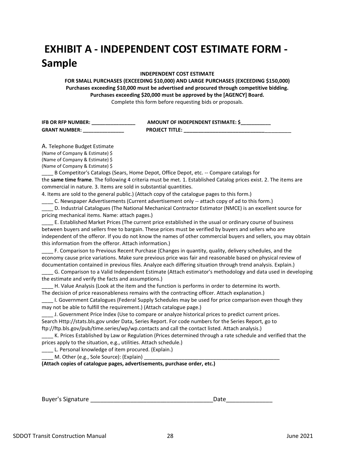## **EXHIBIT A - INDEPENDENT COST ESTIMATE FORM - Sample**

#### **INDEPENDENT COST ESTIMATE**

**FOR SMALL PURCHASES (EXCEEDING \$10,000) AND LARGE PURCHASES (EXCEEDING \$150,000) Purchases exceeding \$10,000 must be advertised and procured through competitive bidding. Purchases exceeding \$20,000 must be approved by the [AGENCY] Board.** Complete this form before requesting bids or proposals.

| <b>IFB OR RFP NUMBER:</b> | AMOUNT OF INDEPENDENT ESTIMATE: \$ |
|---------------------------|------------------------------------|
| <b>GRANT NUMBER:</b>      | <b>PROJECT TITLE:</b>              |

A. Telephone Budget Estimate (Name of Company & Estimate) \$ (Name of Company & Estimate) \$ (Name of Company & Estimate) \$

\_\_\_\_ B Competitor's Catalogs (Sears, Home Depot, Office Depot, etc. -- Compare catalogs for the **same time frame**. The following 4 criteria must be met. 1. Established Catalog prices exist. 2. The items are commercial in nature. 3. Items are sold in substantial quantities.

4. Items are sold to the general public.) (Attach copy of the catalogue pages to this form.)

C. Newspaper Advertisements (Current advertisement only -- attach copy of ad to this form.)

D. Industrial Catalogues (The National Mechanical Contractor Estimator (NMCE) is an excellent source for pricing mechanical items. Name: attach pages.)

\_\_\_\_ E. Established Market Prices (The current price established in the usual or ordinary course of business between buyers and sellers free to bargain. These prices must be verified by buyers and sellers who are independent of the offeror. If you do not know the names of other commercial buyers and sellers, you may obtain this information from the offeror. Attach information.)

\_\_\_\_ F. Comparison to Previous Recent Purchase (Changes in quantity, quality, delivery schedules, and the economy cause price variations. Make sure previous price was fair and reasonable based on physical review of documentation contained in previous files. Analyze each differing situation through trend analysis. Explain.)

\_\_\_\_ G. Comparison to a Valid Independent Estimate (Attach estimator's methodology and data used in developing the estimate and verify the facts and assumptions.)

H. Value Analysis (Look at the item and the function is performs in order to determine its worth. The decision of price reasonableness remains with the contracting officer. Attach explanation.)

\_\_\_\_ I. Government Catalogues (Federal Supply Schedules may be used for price comparison even though they may not be able to fulfill the requirement.) (Attach catalogue page.)

\_\_\_\_ J. Government Price Index (Use to compare or analyze historical prices to predict current prices. Search Http://stats.bls.gov under Data, Series Report. For code numbers for the Series Report, go to ftp://ftp.bls.gov/pub/time.series/wp/wp.contacts and call the contact listed. Attach analysis.)

\_\_\_\_ K. Prices Established by Law or Regulation (Prices determined through a rate schedule and verified that the prices apply to the situation, e.g., utilities. Attach schedule.)

L. Personal knowledge of item procured. (Explain.)

\_\_\_\_ M. Other (e.g., Sole Source): (Explain) \_\_\_\_\_\_\_\_\_\_\_\_\_\_\_\_\_\_\_\_\_\_\_\_\_\_\_\_\_\_\_\_\_\_\_\_\_\_\_\_\_\_\_\_\_\_\_

**(Attach copies of catalogue pages, advertisements, purchase order, etc.)** 

Buyer's Signature and the state of the state of the state of the state of the state of the state of the state o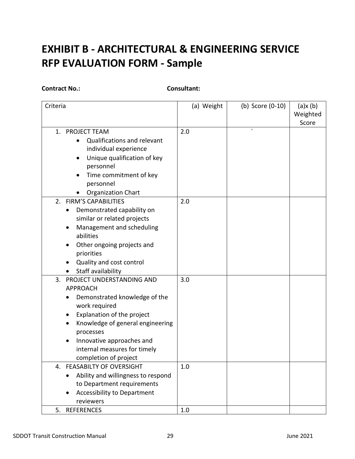## **EXHIBIT B - ARCHITECTURAL & ENGINEERING SERVICE RFP EVALUATION FORM - Sample**

**Contract No.: Consultant:**

| Criteria                                                                                                                                                                                                                                                                               | (a) Weight | (b) Score (0-10) | (a)x(b)<br>Weighted<br>Score |
|----------------------------------------------------------------------------------------------------------------------------------------------------------------------------------------------------------------------------------------------------------------------------------------|------------|------------------|------------------------------|
| 1.<br><b>PROJECT TEAM</b><br>Qualifications and relevant<br>individual experience<br>Unique qualification of key<br>personnel<br>Time commitment of key<br>personnel<br><b>Organization Chart</b>                                                                                      | 2.0        | $\lambda$        |                              |
| 2. FIRM'S CAPABILITIES<br>Demonstrated capability on<br>$\bullet$<br>similar or related projects<br>Management and scheduling<br>abilities<br>Other ongoing projects and<br>priorities<br>Quality and cost control<br>Staff availability                                               | 2.0        |                  |                              |
| 3.<br>PROJECT UNDERSTANDING AND<br><b>APPROACH</b><br>Demonstrated knowledge of the<br>work required<br>Explanation of the project<br>Knowledge of general engineering<br>$\bullet$<br>processes<br>Innovative approaches and<br>internal measures for timely<br>completion of project | 3.0        |                  |                              |
| 4. FEASABILTY OF OVERSIGHT<br>Ability and willingness to respond<br>to Department requirements<br><b>Accessibility to Department</b><br>reviewers                                                                                                                                      | 1.0        |                  |                              |
| <b>REFERENCES</b><br>5.                                                                                                                                                                                                                                                                | 1.0        |                  |                              |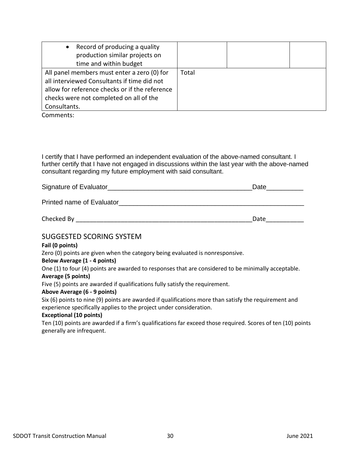| • Record of producing a quality                |       |  |
|------------------------------------------------|-------|--|
| production similar projects on                 |       |  |
| time and within budget                         |       |  |
| All panel members must enter a zero (0) for    | Total |  |
| all interviewed Consultants if time did not    |       |  |
| allow for reference checks or if the reference |       |  |
| checks were not completed on all of the        |       |  |
| Consultants.                                   |       |  |

Comments:

I certify that I have performed an independent evaluation of the above-named consultant. I further certify that I have not engaged in discussions within the last year with the above-named consultant regarding my future employment with said consultant.

| Signature of Evaluator |  |
|------------------------|--|
|                        |  |

Printed name of Evaluator **Example 2008** 

| $N = 1$<br>. | Checked<br>- By |  |
|--------------|-----------------|--|
|--------------|-----------------|--|

## SUGGESTED SCORING SYSTEM

#### **Fail (0 points)**

Zero (0) points are given when the category being evaluated is nonresponsive.

### **Below Average (1 - 4 points)**

One (1) to four (4) points are awarded to responses that are considered to be minimally acceptable.

#### **Average (5 points)**

Five (5) points are awarded if qualifications fully satisfy the requirement.

### **Above Average (6 - 9 points)**

Six (6) points to nine (9) points are awarded if qualifications more than satisfy the requirement and experience specifically applies to the project under consideration.

#### **Exceptional (10 points)**

Ten (10) points are awarded if a firm's qualifications far exceed those required. Scores of ten (10) points generally are infrequent.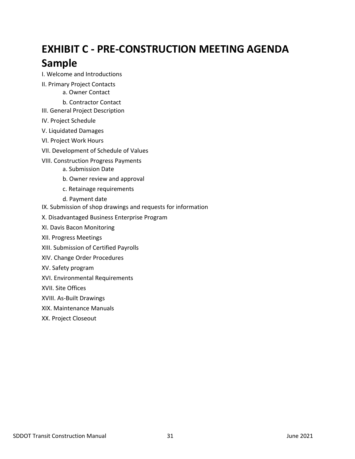## **EXHIBIT C - PRE-CONSTRUCTION MEETING AGENDA Sample**

- I. Welcome and Introductions
- II. Primary Project Contacts a. Owner Contact
	- b. Contractor Contact
- III. General Project Description
- IV. Project Schedule
- V. Liquidated Damages
- VI. Project Work Hours
- VII. Development of Schedule of Values
- VIII. Construction Progress Payments
	- a. Submission Date
	- b. Owner review and approval
	- c. Retainage requirements
	- d. Payment date
- IX. Submission of shop drawings and requests for information
- X. Disadvantaged Business Enterprise Program
- XI. Davis Bacon Monitoring
- XII. Progress Meetings
- XIII. Submission of Certified Payrolls
- XIV. Change Order Procedures
- XV. Safety program
- XVI. Environmental Requirements
- XVII. Site Offices
- XVIII. As-Built Drawings
- XIX. Maintenance Manuals
- XX. Project Closeout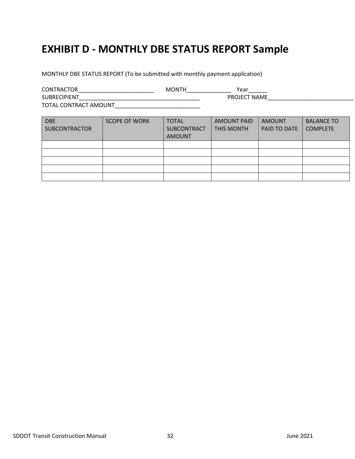## **EXHIBIT D - MONTHLY DBE STATUS REPORT Sample**

MONTHLY DBE STATUS REPORT (To be submitted with monthly payment application)

CONTRACTOR\_\_\_\_\_\_\_\_\_\_\_\_\_\_\_\_\_\_\_\_\_\_\_\_ MONTH\_\_\_\_\_\_\_\_\_\_\_\_\_\_ Year\_\_\_\_\_\_ SUBRECIPIENT\_\_\_\_\_\_\_\_\_\_\_\_\_\_\_\_\_\_\_\_\_\_\_\_\_\_\_\_\_\_\_\_\_\_\_\_\_\_ PROJECT NAME\_\_\_\_\_\_\_\_\_\_\_\_\_\_\_\_\_\_\_\_\_\_\_\_\_\_\_ TOTAL CONTRACT AMOUNT\_\_\_\_\_\_\_\_\_\_\_\_\_\_\_\_\_\_\_\_\_\_\_\_\_\_\_

| <b>DBE</b><br><b>SUBCONTRACTOR</b> | <b>SCOPE OF WORK</b> | <b>TOTAL</b><br><b>SUBCONTRACT</b><br><b>AMOUNT</b> | <b>AMOUNT PAID</b><br><b>THIS MONTH</b> | AMOUNT<br>PAID TO DATE | <b>BALANCE TO</b><br><b>COMPLETE</b> |
|------------------------------------|----------------------|-----------------------------------------------------|-----------------------------------------|------------------------|--------------------------------------|
|                                    |                      |                                                     |                                         |                        |                                      |
|                                    |                      |                                                     |                                         |                        |                                      |
|                                    |                      |                                                     |                                         |                        |                                      |
|                                    |                      |                                                     |                                         |                        |                                      |
|                                    |                      |                                                     |                                         |                        |                                      |